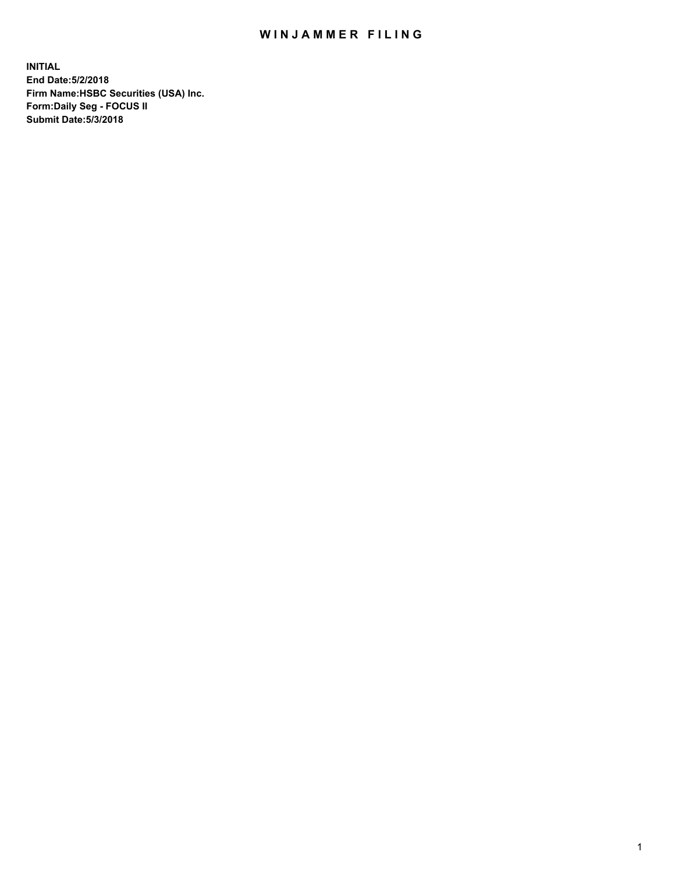## WIN JAMMER FILING

**INITIAL End Date:5/2/2018 Firm Name:HSBC Securities (USA) Inc. Form:Daily Seg - FOCUS II Submit Date:5/3/2018**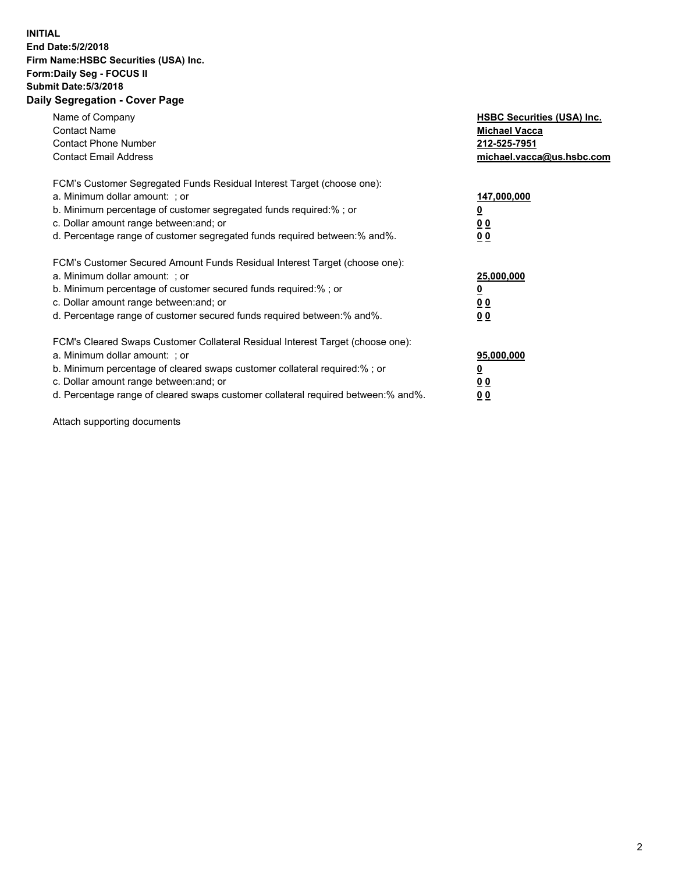## **INITIAL End Date:5/2/2018 Firm Name:HSBC Securities (USA) Inc. Form:Daily Seg - FOCUS II Submit Date:5/3/2018 Daily Segregation - Cover Page**

| Name of Company<br><b>Contact Name</b><br><b>Contact Phone Number</b><br><b>Contact Email Address</b>                                                                                                                                                                                                                          | <b>HSBC Securities (USA) Inc.</b><br><b>Michael Vacca</b><br>212-525-7951<br>michael.vacca@us.hsbc.com |
|--------------------------------------------------------------------------------------------------------------------------------------------------------------------------------------------------------------------------------------------------------------------------------------------------------------------------------|--------------------------------------------------------------------------------------------------------|
| FCM's Customer Segregated Funds Residual Interest Target (choose one):<br>a. Minimum dollar amount: ; or<br>b. Minimum percentage of customer segregated funds required:%; or<br>c. Dollar amount range between: and; or<br>d. Percentage range of customer segregated funds required between:% and%.                          | 147,000,000<br><u>0</u><br><u>00</u><br>00                                                             |
| FCM's Customer Secured Amount Funds Residual Interest Target (choose one):<br>a. Minimum dollar amount: ; or<br>b. Minimum percentage of customer secured funds required:%; or<br>c. Dollar amount range between: and; or<br>d. Percentage range of customer secured funds required between:% and%.                            | 25,000,000<br><u>0</u><br><u>00</u><br>00                                                              |
| FCM's Cleared Swaps Customer Collateral Residual Interest Target (choose one):<br>a. Minimum dollar amount: ; or<br>b. Minimum percentage of cleared swaps customer collateral required:% ; or<br>c. Dollar amount range between: and; or<br>d. Percentage range of cleared swaps customer collateral required between:% and%. | 95,000,000<br><u>0</u><br><u>00</u><br>0 <sub>0</sub>                                                  |

Attach supporting documents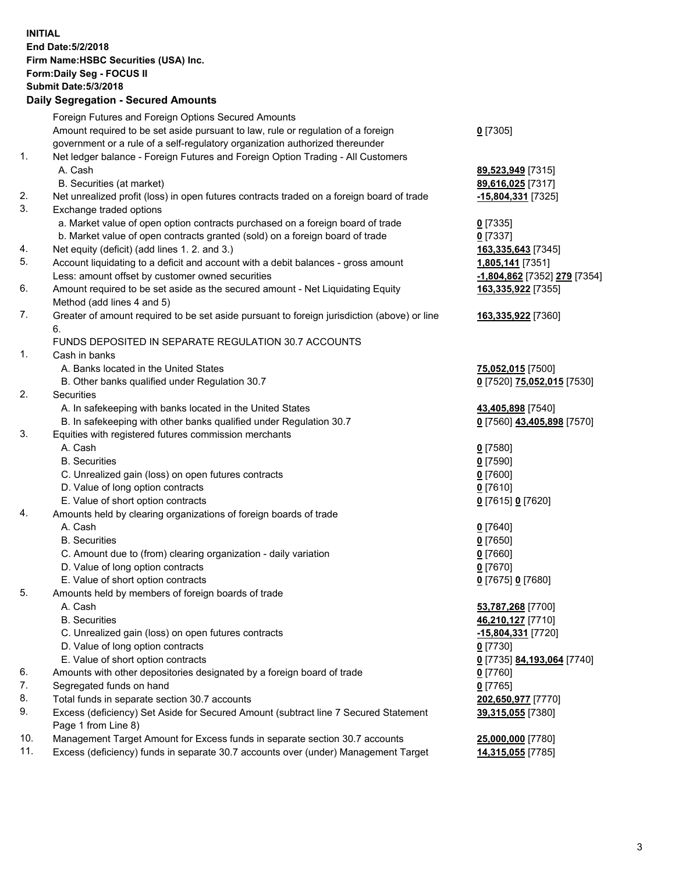**INITIAL End Date:5/2/2018 Firm Name:HSBC Securities (USA) Inc. Form:Daily Seg - FOCUS II Submit Date:5/3/2018 Daily Segregation - Secured Amounts** Foreign Futures and Foreign Options Secured Amounts Amount required to be set aside pursuant to law, rule or regulation of a foreign government or a rule of a self-regulatory organization authorized thereunder **0** [7305] 1. Net ledger balance - Foreign Futures and Foreign Option Trading - All Customers A. Cash **89,523,949** [7315] B. Securities (at market) **89,616,025** [7317] 2. Net unrealized profit (loss) in open futures contracts traded on a foreign board of trade **-15,804,331** [7325] 3. Exchange traded options a. Market value of open option contracts purchased on a foreign board of trade **0** [7335] b. Market value of open contracts granted (sold) on a foreign board of trade **0** [7337] 4. Net equity (deficit) (add lines 1. 2. and 3.) **163,335,643** [7345] 5. Account liquidating to a deficit and account with a debit balances - gross amount **1,805,141** [7351] Less: amount offset by customer owned securities **-1,804,862** [7352] **279** [7354] 6. Amount required to be set aside as the secured amount - Net Liquidating Equity Method (add lines 4 and 5) **163,335,922** [7355] 7. Greater of amount required to be set aside pursuant to foreign jurisdiction (above) or line 6. **163,335,922** [7360] FUNDS DEPOSITED IN SEPARATE REGULATION 30.7 ACCOUNTS 1. Cash in banks A. Banks located in the United States **75,052,015** [7500] B. Other banks qualified under Regulation 30.7 **0** [7520] **75,052,015** [7530] 2. Securities A. In safekeeping with banks located in the United States **43,405,898** [7540] B. In safekeeping with other banks qualified under Regulation 30.7 **0** [7560] **43,405,898** [7570] 3. Equities with registered futures commission merchants A. Cash **0** [7580] B. Securities **0** [7590] C. Unrealized gain (loss) on open futures contracts **0** [7600] D. Value of long option contracts **0** [7610] E. Value of short option contracts **0** [7615] **0** [7620] 4. Amounts held by clearing organizations of foreign boards of trade A. Cash **0** [7640] B. Securities **0** [7650] C. Amount due to (from) clearing organization - daily variation **0** [7660] D. Value of long option contracts **0** [7670] E. Value of short option contracts **0** [7675] **0** [7680] 5. Amounts held by members of foreign boards of trade A. Cash **53,787,268** [7700] B. Securities **46,210,127** [7710] C. Unrealized gain (loss) on open futures contracts **-15,804,331** [7720] D. Value of long option contracts **0** [7730] E. Value of short option contracts **0** [7735] **84,193,064** [7740] 6. Amounts with other depositories designated by a foreign board of trade **0** [7760] 7. Segregated funds on hand **0** [7765] 8. Total funds in separate section 30.7 accounts **202,650,977** [7770] 9. Excess (deficiency) Set Aside for Secured Amount (subtract line 7 Secured Statement Page 1 from Line 8) **39,315,055** [7380] 10. Management Target Amount for Excess funds in separate section 30.7 accounts **25,000,000** [7780] 11. Excess (deficiency) funds in separate 30.7 accounts over (under) Management Target **14,315,055** [7785]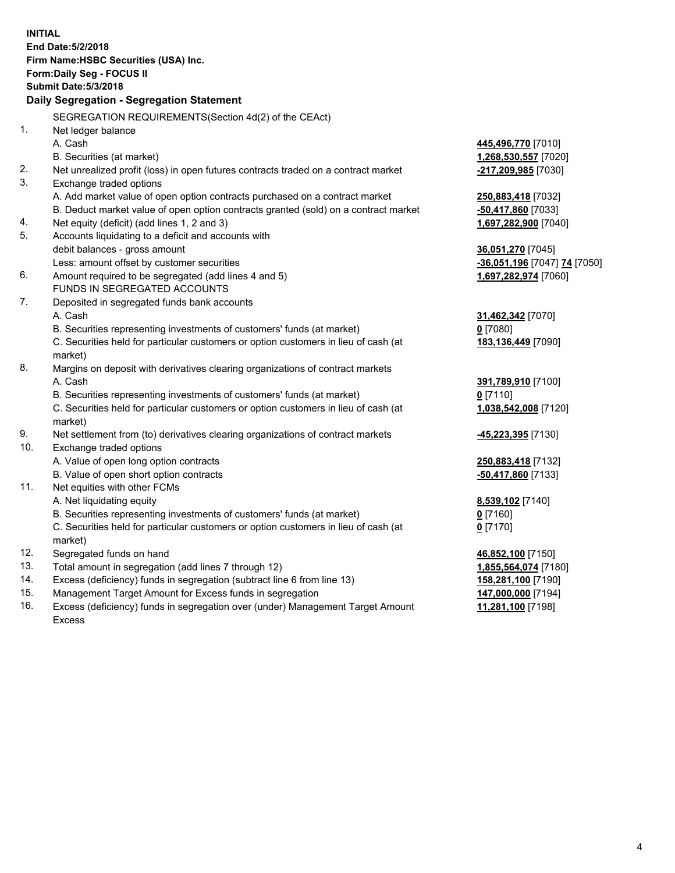| <b>INITIAL</b> | End Date: 5/2/2018<br>Firm Name: HSBC Securities (USA) Inc.<br>Form: Daily Seg - FOCUS II<br><b>Submit Date: 5/3/2018</b><br>Daily Segregation - Segregation Statement |                              |
|----------------|------------------------------------------------------------------------------------------------------------------------------------------------------------------------|------------------------------|
|                | SEGREGATION REQUIREMENTS(Section 4d(2) of the CEAct)                                                                                                                   |                              |
| 1.             | Net ledger balance                                                                                                                                                     |                              |
|                | A. Cash                                                                                                                                                                | 445,496,770 [7010]           |
|                | B. Securities (at market)                                                                                                                                              | 1,268,530,557 [7020]         |
| 2.             | Net unrealized profit (loss) in open futures contracts traded on a contract market                                                                                     | -217,209,985 [7030]          |
| 3.             | Exchange traded options                                                                                                                                                |                              |
|                | A. Add market value of open option contracts purchased on a contract market                                                                                            | 250,883,418 [7032]           |
|                | B. Deduct market value of open option contracts granted (sold) on a contract market                                                                                    | -50,417,860 [7033]           |
| 4.             | Net equity (deficit) (add lines 1, 2 and 3)                                                                                                                            | 1,697,282,900 [7040]         |
| 5.             | Accounts liquidating to a deficit and accounts with                                                                                                                    |                              |
|                | debit balances - gross amount                                                                                                                                          | 36,051,270 [7045]            |
|                | Less: amount offset by customer securities                                                                                                                             | -36,051,196 [7047] 74 [7050] |
| 6.             | Amount required to be segregated (add lines 4 and 5)                                                                                                                   | 1,697,282,974 [7060]         |
|                | FUNDS IN SEGREGATED ACCOUNTS                                                                                                                                           |                              |
| 7.             | Deposited in segregated funds bank accounts                                                                                                                            |                              |
|                | A. Cash                                                                                                                                                                | 31,462,342 [7070]            |
|                | B. Securities representing investments of customers' funds (at market)                                                                                                 | $0$ [7080]                   |
|                | C. Securities held for particular customers or option customers in lieu of cash (at<br>market)                                                                         | 183,136,449 [7090]           |
| 8.             | Margins on deposit with derivatives clearing organizations of contract markets                                                                                         |                              |
|                | A. Cash                                                                                                                                                                | 391,789,910 [7100]           |
|                | B. Securities representing investments of customers' funds (at market)                                                                                                 | $0$ [7110]                   |
|                | C. Securities held for particular customers or option customers in lieu of cash (at<br>market)                                                                         | 1,038,542,008 [7120]         |
| 9.             | Net settlement from (to) derivatives clearing organizations of contract markets                                                                                        | <u>-45,223,395</u> [7130]    |
| 10.            | Exchange traded options                                                                                                                                                |                              |
|                | A. Value of open long option contracts                                                                                                                                 | 250,883,418 [7132]           |
|                | B. Value of open short option contracts                                                                                                                                | $-50,417,860$ [7133]         |
| 11.            | Net equities with other FCMs                                                                                                                                           |                              |
|                | A. Net liquidating equity                                                                                                                                              | 8,539,102 [7140]             |
|                | B. Securities representing investments of customers' funds (at market)                                                                                                 | 0 [7160]                     |
|                | C. Securities held for particular customers or option customers in lieu of cash (at                                                                                    | $0$ [7170]                   |
|                | market)                                                                                                                                                                |                              |
| 12.            | Segregated funds on hand                                                                                                                                               | 46,852,100 [7150]            |
| 13.            | Total amount in segregation (add lines 7 through 12)                                                                                                                   | 1,855,564,074 [7180]         |
| 14.            | Excess (deficiency) funds in segregation (subtract line 6 from line 13)                                                                                                | 158,281,100 [7190]           |
| 15.            | Management Target Amount for Excess funds in segregation                                                                                                               | 147,000,000 [7194]           |

16. Excess (deficiency) funds in segregation over (under) Management Target Amount Excess

**11,281,100** [7198]